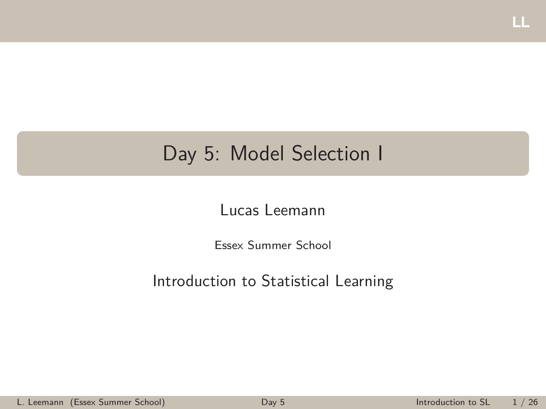## <span id="page-0-0"></span>Day 5: Model Selection I

#### Lucas Leemann

Essex Summer School

#### Introduction to Statistical Learning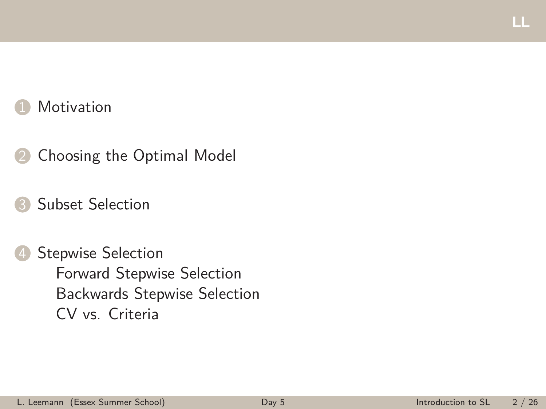### **[Motivation](#page-2-0)**

- **2** [Choosing the Optimal Model](#page-3-0)
- [Subset Selection](#page-13-0)
- [Stepwise Selection](#page-18-0) [Forward Stepwise Selection](#page-19-0) [Backwards Stepwise Selection](#page-21-0) [CV vs. Criteria](#page-24-0)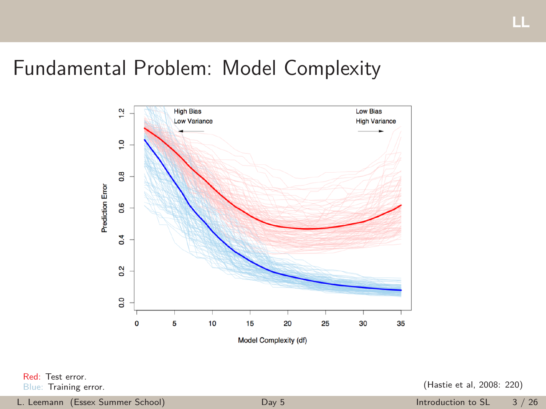### <span id="page-2-0"></span>Fundamental Problem: Model Complexity



Red: Test error.

Blue: Training error. (Hastie et al, 2008: 220)

L. Leemann (Essex Summer School) [Day 5](#page-0-0) Introduction to SL 3 / 26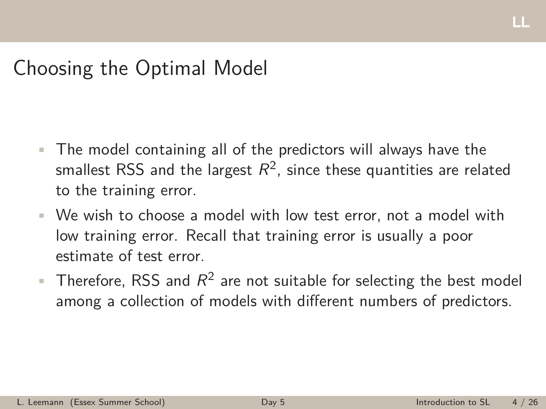## <span id="page-3-0"></span>Choosing the Optimal Model

- The model containing all of the predictors will always have the smallest RSS and the largest  $R^2$ , since these quantities are related to the training error.
- We wish to choose a model with low test error, not a model with low training error. Recall that training error is usually a poor estimate of test error.
- $\blacksquare$  Therefore, RSS and  $R^2$  are not suitable for selecting the best model among a collection of models with different numbers of predictors.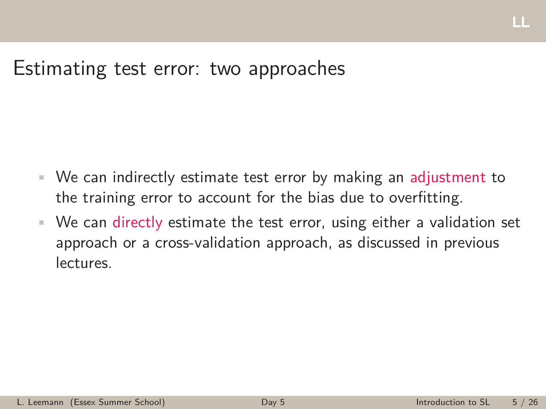### Estimating test error: two approaches

- We can indirectly estimate test error by making an adjustment to the training error to account for the bias due to overfitting.
- We can directly estimate the test error, using either a validation set approach or a cross-validation approach, as discussed in previous lectures.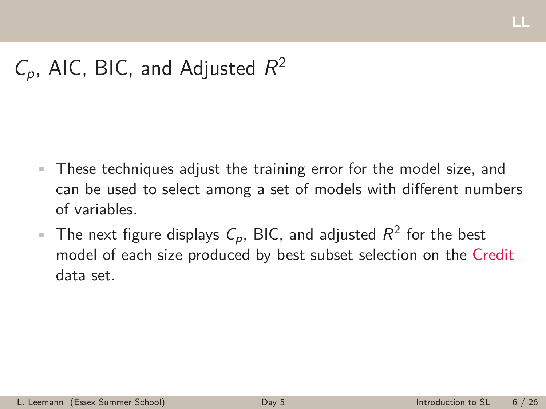## $C_p$ , AIC, BIC, and Adjusted  $R^2$

- These techniques adjust the training error for the model size, and can be used to select among a set of models with different numbers of variables.
- **•** The next figure displays  $C_p$ , BIC, and adjusted  $R^2$  for the best model of each size produced by best subset selection on the Credit data set.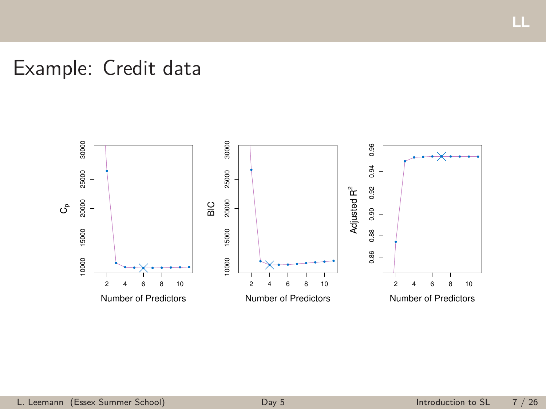## Example: Credit data



ш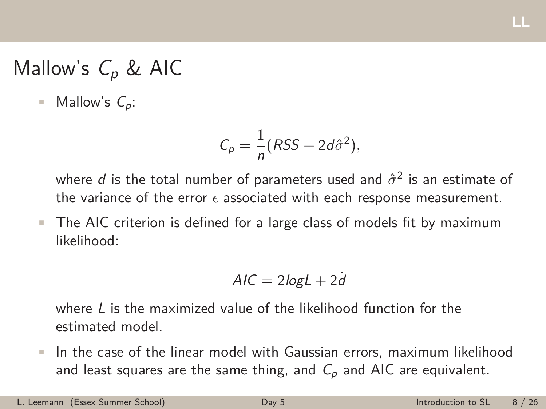## Mallow's *C<sup>p</sup>* & AIC

• Mallow's  $C_p$ :

$$
C_p = \frac{1}{n}(RSS + 2d\hat{\sigma}^2),
$$

where *d* is the total number of parameters used and  $\hat{\sigma}^2$  is an estimate of the variance of the error  $\epsilon$  associated with each response measurement.

• The AIC criterion is defined for a large class of models fit by maximum likelihood:

$$
AIC = 2\log L + 2d
$$

where *L* is the maximized value of the likelihood function for the estimated model.

• In the case of the linear model with Gaussian errors, maximum likelihood and least squares are the same thing, and *C<sup>p</sup>* and AIC are equivalent.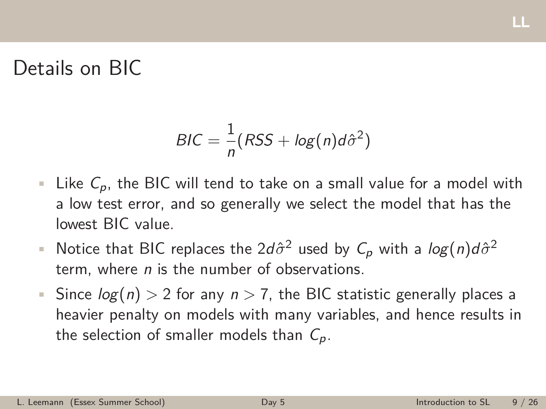### Details on BIC

$$
BIC = \frac{1}{n}(RSS + log(n)d\hat{\sigma}^2)
$$

- Like *Cp*, the BIC will tend to take on a small value for a model with a low test error, and so generally we select the model that has the lowest BIC value.
- Notice that BIC replaces the  $2d\hat{\sigma}^2$  used by  $C_p$  with a  $log(n)d\hat{\sigma}^2$ term, where *n* is the number of observations.
- Since *log*(*n*) *>* 2 for any *n >* 7, the BIC statistic generally places a heavier penalty on models with many variables, and hence results in the selection of smaller models than *Cp*.

щ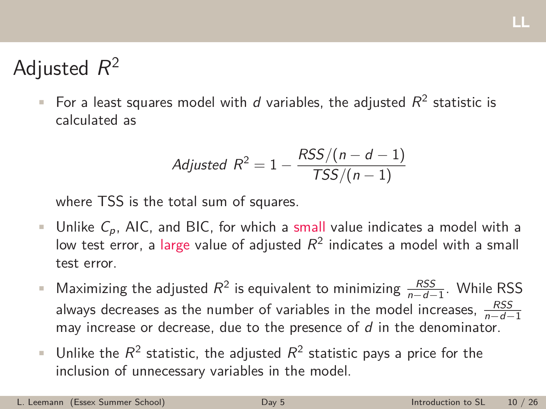## Adjusted *R*<sup>2</sup>

• For a least squares model with  $d$  variables, the adjusted  $R^2$  statistic is calculated as

$$
adjusted R2 = 1 - \frac{RSS/(n-d-1)}{TSS/(n-1)}
$$

where TSS is the total sum of squares.

- Unlike *Cp*, AIC, and BIC, for which a small value indicates a model with a low test error, a large value of adjusted  $R^2$  indicates a model with a small test error.
- Maximizing the adjusted  $R^2$  is equivalent to minimizing  $\frac{RSS}{n-d-1}$ . While RSS always decreases as the number of variables in the model increases,  $\frac{RSS}{n-d-1}$ may increase or decrease, due to the presence of *d* in the denominator.
- Unlike the  $R^2$  statistic, the adjusted  $R^2$  statistic pays a price for the inclusion of unnecessary variables in the model.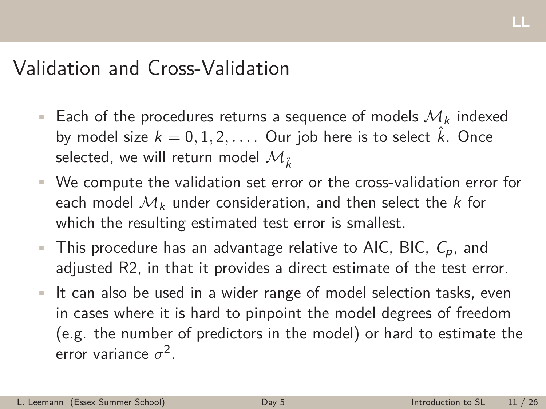### Validation and Cross-Validation

- Each of the procedures returns a sequence of models *M<sup>k</sup>* indexed by model size  $k = 0, 1, 2, \ldots$  . Our job here is to select  $\hat{k}$ . Once selected, we will return model  $\mathcal{M}_{\hat{k}}$
- We compute the validation set error or the cross-validation error for each model *M<sup>k</sup>* under consideration, and then select the *k* for which the resulting estimated test error is smallest.
- This procedure has an advantage relative to AIC, BIC, *Cp*, and adjusted R2, in that it provides a direct estimate of the test error.
- It can also be used in a wider range of model selection tasks, even in cases where it is hard to pinpoint the model degrees of freedom (e.g. the number of predictors in the model) or hard to estimate the error variance *‡*2.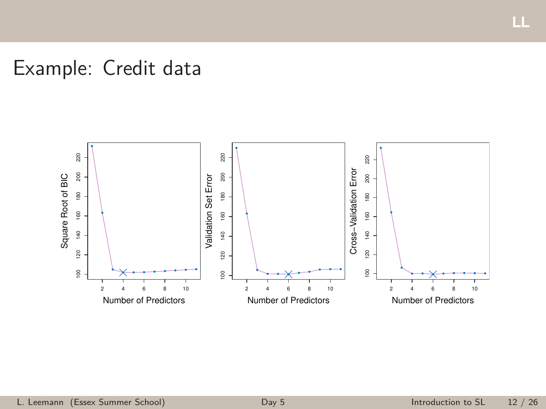## Example: Credit data



LL.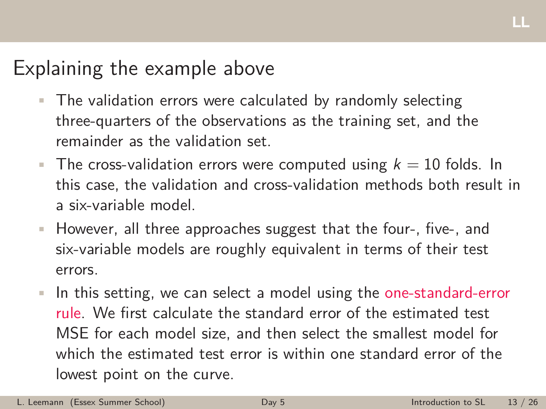## Explaining the example above

- The validation errors were calculated by randomly selecting three-quarters of the observations as the training set, and the remainder as the validation set.
- The cross-validation errors were computed using  $k = 10$  folds. In this case, the validation and cross-validation methods both result in a six-variable model.
- However, all three approaches suggest that the four-, five-, and six-variable models are roughly equivalent in terms of their test errors.
- In this setting, we can select a model using the one-standard-error rule. We first calculate the standard error of the estimated test MSE for each model size, and then select the smallest model for which the estimated test error is within one standard error of the lowest point on the curve.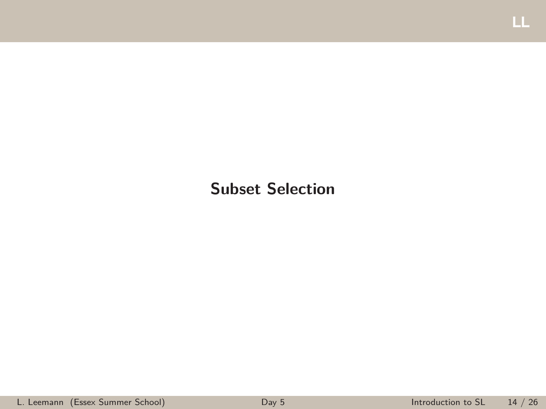#### <span id="page-13-0"></span>**Subset Selection**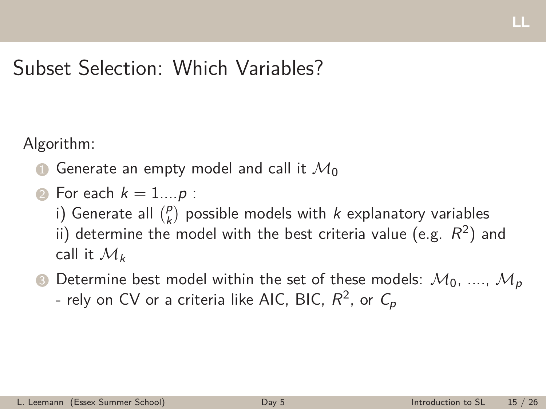## Subset Selection: Which Variables?

Algorithm:

- **1** Generate an empty model and call it  $\mathcal{M}_0$
- $\bullet$  For each  $k = 1...p$ :
	- i) Generate all  $\binom{p}{k}$  possible models with *k* explanatory variables ii) determine the model with the best criteria value (e.g.  $R^2$ ) and call it *M<sup>k</sup>*
- **3** Determine best model within the set of these models:  $M_0$ , ....,  $M_p$ - rely on CV or a criteria like AIC, BIC,  $R^2$ , or  $C_p$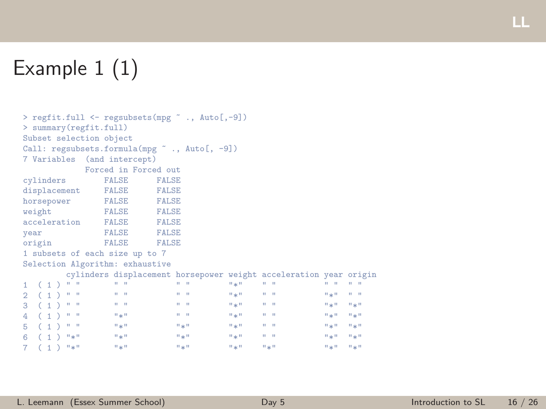## Example 1 (1)

```
> regfit.full <- regsubsets(mpg ˜ ., Auto[,-9])
> summary(regfit.full)
Subset selection object
Call: regsubsets.formula(mpg ~ ., Auto[, -9])
7 Variables (and intercept)
            Forced in Forced out
cylinders
displacement FALSE FALSE<br>horsepower FALSE FALSE
horsepower FALSE FALSE<br>weight FALSE FALSE
weight
acceleration FALSE FALSE
year FALSE FALSE<br>origin FALSE FALSE
origin
1 subsets of each size up to 7
Selection Algorithm: exhaustive
   cylinders displacement horsepower weight acceleration year origin
1 ( 1 ) " " " " " " "*" " " " " " "
2 ( 1 ) " " " " " " "*" " " "*" " "
3 ( 1 ) " " " " " " "*" " " "*" "*"
4 ( 1 ) " " "*" " " "*" " " "*" "*"
5 ( 1 ) " " "*" "*" "*" " " "*" "*"
6 ( 1 ) "*" "*" "*" "*" " " "*" "*"
7 ( 1 ) ^{10} * ^{11} ^{11} ^{12} ^{13} ^{14} ^{11} ^{12} ^{13} ^{14} ^{11} ^{12} ^{13} ^{14} ^{11} ^{11} ^{11} ^{11} ^{11} ^{11} ^{11} ^{11} ^{11} ^{11} ^{11} ^{11} ^{11} ^{11} ^{11} ^{11}
```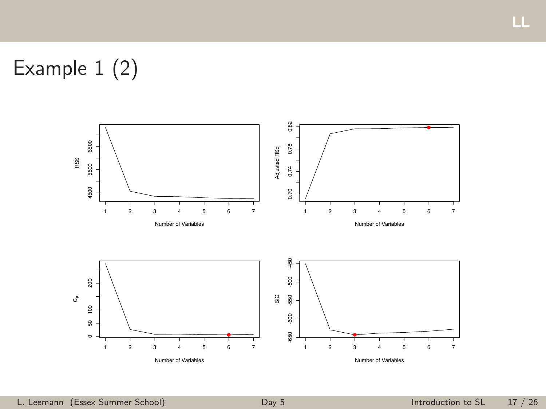# Example 1 (2)



LL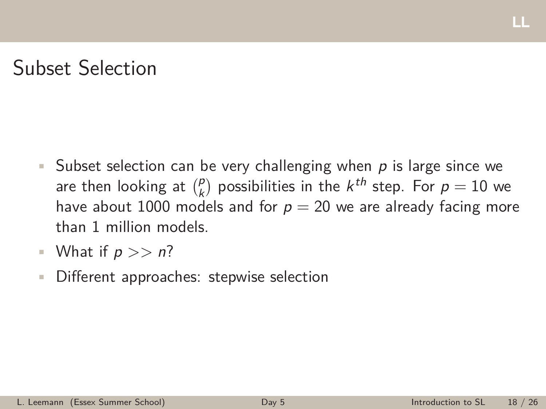## Subset Selection

- Subset selection can be very challenging when *p* is large since we are then looking at  $\binom{p}{k}$  possibilities in the  $k^{th}$  step. For  $p = 10$  we have about 1000 models and for  $p = 20$  we are already facing more than 1 million models.
- What if *p >> n*?
- Different approaches: stepwise selection

щ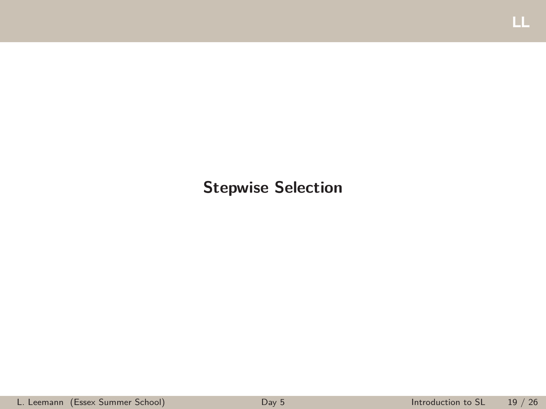#### <span id="page-18-0"></span>**Stepwise Selection**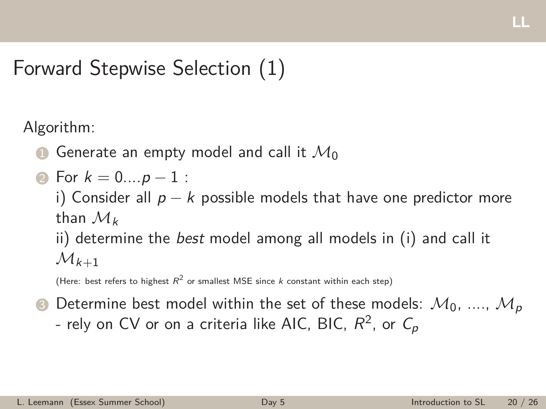## <span id="page-19-0"></span>Forward Stepwise Selection (1)

Algorithm:

- Generate an empty model and call it  $\mathcal{M}_0$
- 2 For  $k = 0...p 1$  :

i) Consider all  $p - k$  possible models that have one predictor more than *M<sup>k</sup>*

ii) determine the *best* model among all models in (i) and call it  $\mathcal{M}_{k+1}$ 

(Here: best refers to highest  $R^2$  or smallest MSE since *k* constant within each step)

 $\bullet$  Determine best model within the set of these models:  $\mathcal{M}_0$ , ....,  $\mathcal{M}_p$ - rely on CV or on a criteria like AIC, BIC,  $R^2$ , or  $C_p$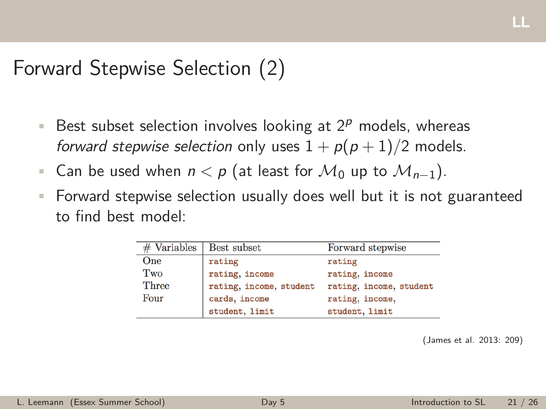## Forward Stepwise Selection (2)

- Best subset selection involves looking at 2*<sup>p</sup>* models, whereas *forward stepwise selection* only uses  $1 + p(p+1)/2$  models.
- Can be used when  $n < p$  (at least for  $\mathcal{M}_0$  up to  $\mathcal{M}_{n-1}$ ).
- Forward stepwise selection usually does well but it is not guaranteed to find best model:

| $#$ Variables $ $ | Best subset             | Forward stepwise        |
|-------------------|-------------------------|-------------------------|
| One               | rating                  | rating                  |
| Two               | rating, income          | rating, income          |
| Three             | rating, income, student | rating, income, student |
| Four              | cards, income           | rating, income,         |
|                   | student, limit          | student, limit          |

(James et al. 2013: 209)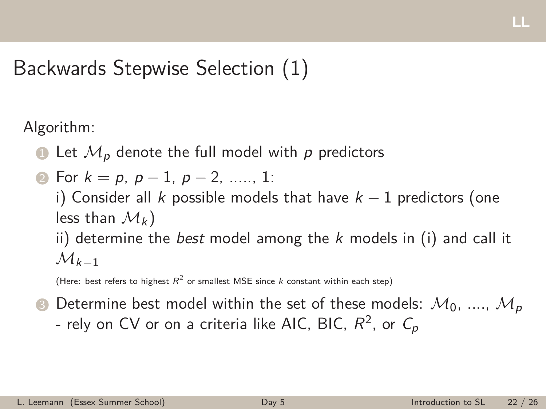## <span id="page-21-0"></span>Backwards Stepwise Selection (1)

Algorithm:

- $\bullet$  Let  $\mathcal{M}_p$  denote the full model with p predictors
- **2** For  $k = p, p 1, p 2, \dots, 1$ :

i) Consider all *k* possible models that have  $k - 1$  predictors (one less than  $\mathcal{M}_k$ )

ii) determine the *best* model among the *k* models in (i) and call it  $M_{k-1}$ 

(Here: best refers to highest  $R^2$  or smallest MSE since *k* constant within each step)

 $\bullet$  Determine best model within the set of these models:  $\mathcal{M}_0$ , ....,  $\mathcal{M}_p$ - rely on CV or on a criteria like AIC, BIC,  $R^2$ , or  $C_p$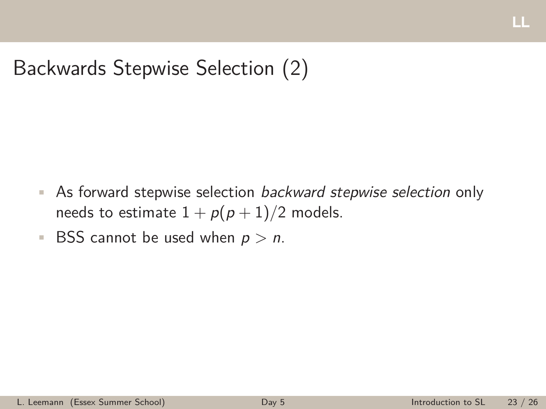## Backwards Stepwise Selection (2)

- As forward stepwise selection *backward stepwise selection* only needs to estimate  $1 + p(p + 1)/2$  models.
- BSS cannot be used when *p > n*.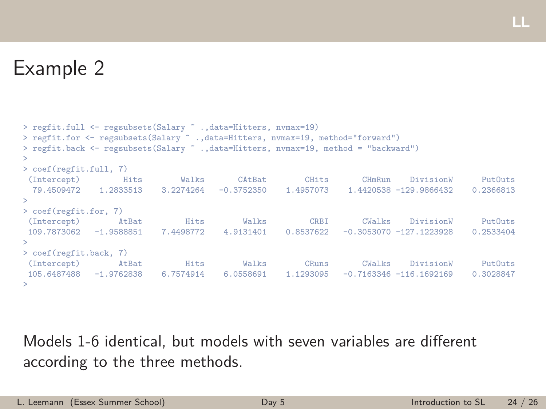## Example 2

```
> regfit.full <- regsubsets(Salary ˜ .,data=Hitters, nvmax=19)
> regfit.for <- regsubsets(Salary ˜ .,data=Hitters, nvmax=19, method="forward")
> regfit.back <- regsubsets(Salary ˜ .,data=Hitters, nvmax=19, method = "backward")
>
> coef(regfit.full, 7)
 (Intercept) Hits Walks CAtBat CHits CHmRun DivisionW PutOuts
 79.4509472 1.2833513 3.2274264 -0.3752350 1.4957073 1.4420538 -129.9866432 0.2366813
>
> coef(regfit.for, 7)
 (Intercept) AtBat Hits Walks CRBI CWalks DivisionW PutOuts
109.7873062 -1.9588851 7.4498772 4.9131401 0.8537622 -0.3053070 -127.1223928 0.2533404
>
> coef(regfit.back, 7)
 (Intercept) AtBat Hits Walks CRuns CWalks DivisionW PutOuts
105.6487488 -1.9762838 6.7574914 6.0558691 1.1293095 -0.7163346 -116.1692169 0.3028847
>
```
Models 1-6 identical, but models with seven variables are different according to the three methods.

щ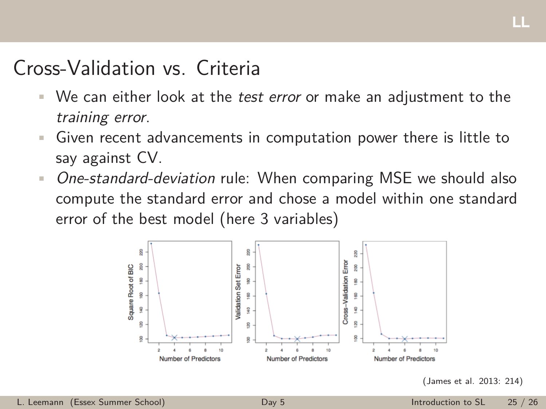## <span id="page-24-0"></span>Cross-Validation vs. Criteria

- We can either look at the *test error* or make an adjustment to the *training error*.
- Given recent advancements in computation power there is little to say against CV.
- *One-standard-deviation* rule: When comparing MSE we should also compute the standard error and chose a model within one standard error of the best model (here 3 variables)



(James et al. 2013: 214)